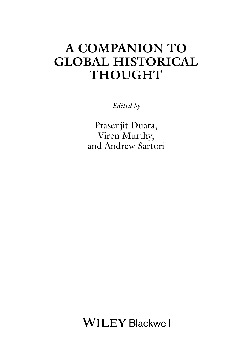# **A COMPANION TO GLOBAL HISTORICAL THOUGHT**

*Edited by*

Prasenjit Duara, Viren Murthy, and Andrew Sartori

**WILEY Blackwell**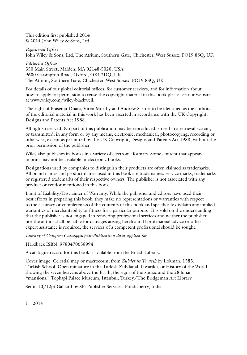This edition first published 2014 © 2014 John Wiley & Sons, Ltd

*Registered Office* John Wiley & Sons, Ltd, The Atrium, Southern Gate, Chichester, West Sussex, PO19 8SQ, UK

*Editorial Offices* 350 Main Street, Malden, MA 02148-5020, USA 9600 Garsington Road, Oxford, OX4 2DQ, UK The Atrium, Southern Gate, Chichester, West Sussex, PO19 8SQ, UK

For details of our global editorial offices, for customer services, and for information about how to apply for permission to reuse the copyright material in this book please see our website at www.wiley.com/wiley-blackwell.

The right of Prasenjit Duara, Viren Murthy and Andrew Sartori to be identified as the authors of the editorial material in this work has been asserted in accordance with the UK Copyright, Designs and Patents Act 1988.

All rights reserved. No part of this publication may be reproduced, stored in a retrieval system, or transmitted, in any form or by any means, electronic, mechanical, photocopying, recording or otherwise, except as permitted by the UK Copyright, Designs and Patents Act 1988, without the prior permission of the publisher.

Wiley also publishes its books in a variety of electronic formats. Some content that appears in print may not be available in electronic books.

Designations used by companies to distinguish their products are often claimed as trademarks. All brand names and product names used in this book are trade names, service marks, trademarks or registered trademarks of their respective owners. The publisher is not associated with any product or vendor mentioned in this book.

Limit of Liability/Disclaimer of Warranty: While the publisher and editors have used their best efforts in preparing this book, they make no representations or warranties with respect to the accuracy or completeness of the contents of this book and specifically disclaim any implied warranties of merchantability or fitness for a particular purpose. It is sold on the understanding that the publisher is not engaged in rendering professional services and neither the publisher nor the author shall be liable for damages arising herefrom. If professional advice or other expert assistance is required, the services of a competent professional should be sought.

*Library of Congress Cataloging-in-Publication data applied for*

Hardback ISBN: 9780470658994

A catalogue record for this book is available from the British Library.

Cover image: Celestial map or macrocosm, from *Zubdet ut Tevarih* by Lokman, 1583, Turkish School. Open miniature in the Turkish Zubdat al-Tawarikh, or History of the World, showing the seven heavens above the Earth, the signs of the zodiac and the 28 lunar "mansions." Topkapi Palace Museum, Istanbul, Turkey/ The Bridgeman Art Library.

Set in 10/12pt Galliard by SPi Publisher Services, Pondicherry, India

1 2014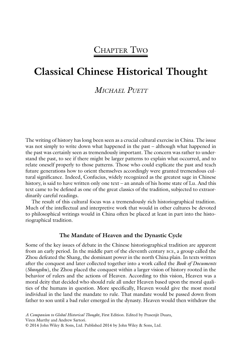### CHAPTER TWO

## **Classical Chinese Historical Thought**

### *MICHAEL PUETT*

The writing of history has long been seen as a crucial cultural exercise in China. The issue was not simply to write down what happened in the past – although what happened in the past was certainly seen as tremendously important. The concern was rather to understand the past, to see if there might be larger patterns to explain what occurred, and to relate oneself properly to those patterns. Those who could explicate the past and teach future generations how to orient themselves accordingly were granted tremendous cultural significance. Indeed, Confucius, widely recognized as the greatest sage in Chinese history, is said to have written only one text – an annals of his home state of Lu. And this text came to be defined as one of the great classics of the tradition, subjected to extraordinarily careful readings.

The result of this cultural focus was a tremendously rich historiographical tradition. Much of the intellectual and interpretive work that would in other cultures be devoted to philosophical writings would in China often be placed at least in part into the historiographical tradition.

#### **The Mandate of Heaven and the Dynastic Cycle**

Some of the key issues of debate in the Chinese historiographical tradition are apparent from an early period. In the middle part of the eleventh century BCE, a group called the Zhou defeated the Shang, the dominant power in the north China plain. In texts written after the conquest and later collected together into a work called the *Book of Documents* (*Shangshu*), the Zhou placed the conquest within a larger vision of history rooted in the behavior of rulers and the actions of Heaven. According to this vision, Heaven was a moral deity that decided who should rule all under Heaven based upon the moral qualities of the humans in question. More specifically, Heaven would give the most moral individual in the land the mandate to rule. That mandate would be passed down from father to son until a bad ruler emerged in the dynasty. Heaven would then withdraw the

*A Companion to Global Historical Thought*, First Edition. Edited by Prasenjit Duara, Viren Murthy and Andrew Sartori.

<sup>© 2014</sup> John Wiley & Sons, Ltd. Published 2014 by John Wiley & Sons, Ltd.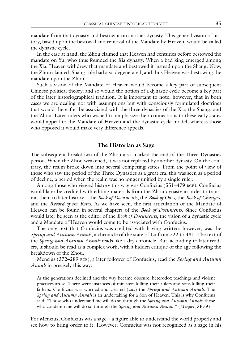mandate from that dynasty and bestow it on another dynasty. This general vision of history, based upon the bestowal and removal of the Mandate by Heaven, would be called the dynastic cycle.

In the case at hand, the Zhou claimed that Heaven had centuries before bestowed the mandate on Yu, who thus founded the Xia dynasty. When a bad king emerged among the Xia, Heaven withdrew that mandate and bestowed it instead upon the Shang. Now, the Zhou claimed, Shang rule had also degenerated, and thus Heaven was bestowing the mandate upon the Zhou.

Such a vision of the Mandate of Heaven would become a key part of subsequent Chinese political theory, and so would the notion of a dynastic cycle become a key part of the later historiographical tradition. It is important to note, however, that in both cases we are dealing not with assumptions but with consciously formulated doctrines that would thereafter be associated with the three dynasties of the Xia, the Shang, and the Zhou. Later rulers who wished to emphasize their connections to these early states would appeal to the Mandate of Heaven and the dynastic cycle model, whereas those who opposed it would make very difference appeals.

#### **The Historian as Sage**

The subsequent breakdown of the Zhou also marked the end of the Three Dynasties period. When the Zhou weakened, it was not replaced by another dynasty. On the contrary, the realm broke down into several competing states. From the point of view of those who saw the period of the Three Dynasties as a great era, this was seen as a period of decline, a period when the realm was no longer unified by a single ruler.

Among those who viewed history this way was Confucius  $(551-479 \text{ BCE})$ . Confucius would later be credited with editing materials from the Zhou dynasty in order to transmit them to later history – the *Book of Documents*, the *Book of Odes*, the *Book of Changes*, and the *Record of the Rites*. As we have seen, the first articulation of the Mandate of Heaven can be found in several chapters of the *Book of Documents*. Since Confucius would later be seen as the editor of the *Book of Documents*, the vision of a dynastic cycle and a Mandate of Heaven would come to be associated with Confucius.

The only text that Confucius was credited with having written, however, was the *Spring and Autumn Annals*, a chronicle of the state of Lu from 722 to 481. The text of the *Spring and Autumn Annals* reads like a dry chronicle. But, according to later readers, it should be read as a complex work, with a hidden critique of the age following the breakdown of the Zhou.

Mencius (372–289 BCE), a later follower of Confucius, read the *Spring and Autumn Annals* in precisely this way:

As the generations declined and the way became obscure, heterodox teachings and violent practices arose. There were instances of ministers killing their rulers and sons killing their fathers. Confucius was worried and created (*zuo*) the *Spring and Autumn Annals*. The *Spring and Autumn Annals* is an undertaking for a Son of Heaven. This is why Confucius said: "Those who understand me will do so through the *Spring and Autumn Annals*; those who condemn me will do so through the *Spring and Autumn Annals*." (*Mengzi*, 3B/9)

For Mencius, Confucius was a sage – a figure able to understand the world properly and see how to bring order to it. However, Confucius was not recognized as a sage in his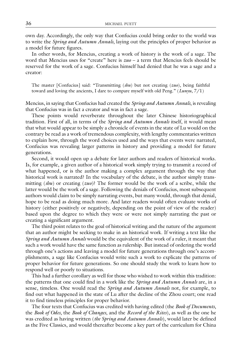own day. Accordingly, the only way that Confucius could bring order to the world was to write the *Spring and Autumn Annals*, laying out the principles of proper behavior as a model for future figures.

In other words, for Mencius, creating a work of history is the work of a sage. The word that Mencius uses for "create" here is *zuo* – a term that Mencius feels should be reserved for the work of a sage. Confucius himself had denied that he was a sage and a creator:

The master [Confucius] said: "Transmitting (*shu*) but not creating (*zuo*), being faithful toward and loving the ancients, I dare to compare myself with old Peng." (*Lunyu*, 7/1)

Mencius, in saying that Confucius had created the *Spring and Autumn Annals*, is revealing that Confucius was in fact a creator and was in fact a sage.

These points would reverberate throughout the later Chinese historiographical tradition. First of all, in terms of the *Spring and Autumn Annals* itself, it would mean that what would appear to be simply a chronicle of events in the state of Lu would on the contrary be read as a work of tremendous complexity, with lengthy commentaries written to explain how, through the word choices used and the ways that events were narrated, Confucius was revealing larger patterns in history and providing a model for future generations.

Second, it would open up a debate for later authors and readers of historical works. Is, for example, a given author of a historical work simply trying to transmit a record of what happened, or is the author making a complex argument through the way that historical work is narrated? In the vocabulary of the debate, is the author simply transmitting (*shu*) or creating (*zuo*)? The former would be the work of a scribe, while the latter would be the work of a sage. Following the denials of Confucius, most subsequent authors would claim to be simply narrating events, but many would, through that denial, hope to be read as doing much more. And later readers would often evaluate works of history (either positively or negatively, depending on the point of view of the reader) based upon the degree to which they were or were not simply narrating the past or creating a significant argument.

The third point relates to the goal of historical writing and the nature of the argument that an author might be seeking to make in an historical work. If writing a text like the *Spring and Autumn Annals* would be the equivalent of the work of a ruler, it meant that such a work would have the same function as rulership. But instead of ordering the world through one's actions and leaving a model for future generations through one's accomplishments, a sage like Confucius would write such a work to explicate the patterns of proper behavior for future generations. So one should study the work to learn how to respond well or poorly to situations.

This had a further corollary as well for those who wished to work within this tradition: the patterns that one could find in a work like the *Spring and Autumn Annals* are, in a sense, timeless. One would read the *Spring and Autumn Annals* not, for example, to find out what happened in the state of Lu after the decline of the Zhou court; one read it to find timeless principles for proper behavior.

The four texts that Confucius was credited with having edited (the *Book of Documents*, the *Book of Odes*, the *Book of Changes*, and the *Record of the Rites*), as well as the one he was credited as having written (*the Spring and Autumn Annals*), would later be defined as the Five Classics, and would thereafter become a key part of the curriculum for China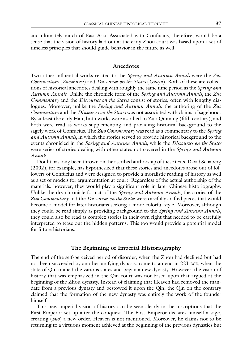and ultimately much of East Asia. Associated with Confucius, therefore, would be a sense that the vision of history laid out at the early Zhou court was based upon a set of timeless principles that should guide behavior in the future as well.

#### **Anecdotes**

Two other influential works related to the *Spring and Autumn Annals* were the *Zuo Commentary* (*Zuozhuan*) and *Discourses on the States* (*Guoyu*). Both of these are collections of historical anecdotes dealing with roughly the same time period as the *Spring and Autumn Annals*. Unlike the chronicle form of the *Spring and Autumn Annals*, the *Zuo Commentary* and the *Discourses on the States* consist of stories, often with lengthy dialogues. Moreover, unlike the *Spring and Autumn Annals*, the authoring of the *Zuo Commentary* and the *Discourses on the States* was not associated with claims of sagehood. By at least the early Han, both works were ascribed to Zuo Qiuming (fifth century), and both were read as works supplementing and providing historical background to the sagely work of Confucius. The *Zuo Commentary* was read as a commentary to the *Spring and Autumn Annals*, in which the stories served to provide historical background to the events chronicled in the *Spring and Autumn Annals*, while the *Discourses on the States* were series of stories dealing with other states not covered in the *Spring and Autumn Annals*.

Doubt has long been thrown on the ascribed authorship of these texts. David Schaberg (2002), for example, has hypothesized that these stories and anecdotes arose out of followers of Confucius and were designed to provide a moralistic reading of history as well as a set of models for argumentation at court. Regardless of the actual authorship of the materials, however, they would play a significant role in later Chinese historiography. Unlike the dry chronicle format of the *Spring and Autumn Annals*, the stories of the *Zuo Commentary* and the *Discourses on the States* were carefully crafted pieces that would become a model for later historians seeking a more colorful style. Moreover, although they could be read simply as providing background to the *Spring and Autumn Annals*, they could also be read as complex stories in their own right that needed to be carefully interpreted to tease out the hidden patterns. This too would provide a potential model for future historians.

#### **The Beginning of Imperial Historiography**

The end of the self-perceived period of disorder, when the Zhou had declined but had not been succeeded by another unifying dynasty, came to an end in 221 BCE, when the state of Qin unified the various states and began a new dynasty. However, the vision of history that was emphasized in the Qin court was not based upon that argued at the beginning of the Zhou dynasty. Instead of claiming that Heaven had removed the mandate from a previous dynasty and bestowed it upon the Qin, the Qin on the contrary claimed that the formation of the new dynasty was entirely the work of the founder himself.

This new imperial vision of history can be seen clearly in the inscriptions that the First Emperor set up after the conquest. The First Emperor declares himself a sage, creating (*zuo*) a new order. Heaven is not mentioned. Moreover, he claims not to be returning to a virtuous moment achieved at the beginning of the previous dynasties but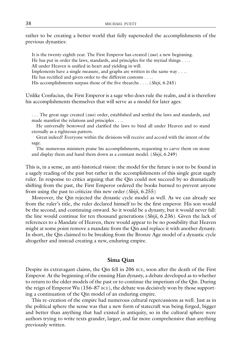rather to be creating a better world that fully superseded the accomplishments of the previous dynasties:

It is the twenty-eighth year. The First Emperor has created (*zuo*) a new beginning. He has put in order the laws, standards, and principles for the myriad things . . . . All under Heaven is unified in heart and yielding in will. Implements have a single measure, and graphs are written in the same way . . . . He has rectified and given order to the different customs . . . . His accomplishments surpass those of the five thearchs . . . . (*Shiji*, 6.245)

Unlike Confucius, the First Emperor is a sage who does rule the realm, and it is therefore his accomplishments themselves that will serve as a model for later ages:

. . . The great sage created (*zuo*) order, established and settled the laws and standards, and made manifest the relations and principles . . . .

He universally bestowed and clarified the laws to bind all under Heaven and to stand eternally as a righteous pattern.

Great indeed! Everyone within the divisions will receive and accord with the intent of the sage.

The numerous ministers praise his accomplishments, requesting to carve them on stone and display them and hand them down as a constant model. (*Shiji*, 6.249)

This is, in a sense, an anti-historical vision: the model for the future is not to be found in a sagely reading of the past but rather in the accomplishments of this single great sagely ruler. In response to critics arguing that the Qin could not succeed by so dramatically shifting from the past, the First Emperor ordered the books burned to prevent anyone from using the past to criticize this new order (*Shiji*, 6.255)

Moreover, the Qin rejected the dynastic cycle model as well. As we can already see from the ruler's title, the ruler declared himself to be the first emperor. His son would be the second, and continuing onward. So it would be a dynasty, but it would never fall: the line would continue for ten thousand generations (*Shiji*, 6.236). Given the lack of references to a Mandate of Heaven, there would appear to be no possibility that Heaven might at some point remove a mandate from the Qin and replace it with another dynasty. In short, the Qin claimed to be breaking from the Bronze Age model of a dynastic cycle altogether and instead creating a new, enduring empire.

#### **Sima Qian**

Despite its extravagant claims, the Qin fell in 206 BCE, soon after the death of the First Emperor. At the beginning of the ensuing Han dynasty, a debate developed as to whether to return to the older models of the past or to continue the imperium of the Qin. During the reign of Emperor Wu (156–87 BCE), the debate was decisively won by those supporting a continuation of the Qin model of an enduring empire.

This re-creation of the empire had numerous cultural repercussions as well. Just as in the political sphere the sense was that a new form of statecraft was being forged, bigger and better than anything that had existed in antiquity, so in the cultural sphere were authors trying to write texts grander, larger, and far more comprehensive than anything previously written.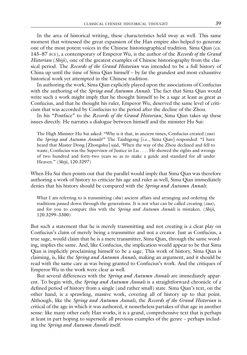In the area of historical writing, these characteristics held sway as well. This same moment that witnessed the great expansion of the Han empire also helped to generate one of the most potent voices in the Chinese historiographical tradition. Sima Qian (ca. 145–87 BCE), a contemporary of Emperor Wu, is the author of the *Records of the Grand Historian* (*Shiji*), one of the greatest examples of Chinese historiography from the classical period. The *Records of the Grand Historian* was intended to be a full history of China up until the time of Sima Qian himself – by far the grandest and most exhaustive historical work yet attempted in the Chinese tradition.

In authoring the work, Sima Qian explicitly played upon the associations of Confucius with the authoring of the *Spring and Autumn Annals*. The fact that Sima Qian would write such a work might imply that he thought himself to be a sage at least as great as Confucius, and that he thought his ruler, Emperor Wu, deserved the same level of criticism that was accorded by Confucius to the period after the decline of the Zhou.

In his "Postface" to the *Records of the Grand Historian*, Sima Qian takes up these issues directly. He narrates a dialogue between himself and the minister Hu Sui:

The High Minister Hu Sui asked: "Why is it that, in ancient times, Confucius created (*zuo*) the *Spring and Autumn Annals*?" The Taishigong [i.e., Sima Qian] responded: "I have heard that Master Dong [Zhongshu] said, 'When the way of the Zhou declined and fell to waste, Confucius was the Supervisor of Justice in Lu . . . . He showed the rights and wrongs of two hundred and forty-two years so as to make a guide and standard for all under Heaven." (*Shiji*, 120.3297)

When Hu Sui then points out that the parallel would imply that Sima Qian was therefore authoring a work of history to criticize his age and ruler as well, Sima Qian immediately denies that his history should be compared with the *Spring and Autumn Annals*:

What I am referring to is transmitting (*shu*) ancient affairs and arranging and ordering the traditions passed down through the generations. It is not what can be called creating (*zuo*), and for you to compare this with the *Spring and Autumn Annals* is mistaken. (*Shiji*, 120.3299–3300)

But such a statement that he is merely transmitting and not creating is a clear play on Confucius's claim of merely being a transmitter and not a creator. Just as Confucius, a true sage, would claim that he is a mere transmitter, Sima Qian, through the same wording, implies the same. And, like Confucius, the implication would appear to be that Sima Qian is implicitly proclaiming himself to be a sage. This work of history, Sima Qian is claiming, is, like the *Spring and Autumn Annals*, making an argument, and it should be read with the same care as was being granted to Confucius's work. And the critiques of Emperor Wu in the work were clear as well.

But several differences with the *Spring and Autumn Annals* are immediately apparent. To begin with, the *Spring and Autumn Annals* is a straightforward chronicle of a defined period of history from a single (and rather small) state. Sima Qian's text, on the other hand, is a sprawling, massive work, covering all of history up to that point. Although, like the *Spring and Autumn Annals*, the *Records of the Grand Historian* is critical of the age in which it was authored, it nonetheless partakes of that age in another sense: like many other early Han works, it is a grand, comprehensive text that is perhaps at least in part hoping to supersede all previous examples of the genre – perhaps including the *Spring and Autumn Annals* itself.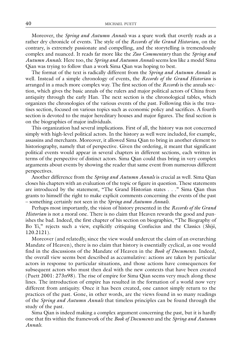Moreover, the *Spring and Autumn Annals* was a spare work that overtly reads as a rather dry chronicle of events. The style of the *Records of the Grand Historian*, on the contrary, is extremely passionate and compelling, and the storytelling is tremendously complex and nuanced. It reads far more like the *Zuo Commentary* than the *Spring and Autumn Annals*. Here too, the *Spring and Autumn Annals* seems less like a model Sima Qian was trying to follow than a work Sima Qian was hoping to best.

The format of the text is radically different from the *Spring and Autumn Annals* as well. Instead of a simple chronology of events, the *Records of the Grand Historian* is arranged in a much more complex way. The first section of the *Records* is the annals section, which gives the basic annals of the rulers and major political actors of China from antiquity through the early Han. The next section is the chronological tables, which organizes the chronologies of the various events of the past. Following this is the treatises section, focused on various topics such as economic policy and sacrifices. A fourth section is devoted to the major hereditary houses and major figures. The final section is on the biographies of major individuals.

This organization had several implications. First of all, the history was not concerned simply with high-level political actors. In the history as well were included, for example, assassins and merchants. Moreover, it allowed Sima Qian to bring in another element to historiography, namely that of perspective. Given the ordering, it meant that significant political events would appear in several chapters in different sections, each written in terms of the perspective of distinct actors. Sima Qian could thus bring in very complex arguments about events by showing the reader that same event from numerous different perspectives.

Another difference from the *Spring and Autumn Annals* is crucial as well. Sima Qian closes his chapters with an evaluation of the topic or figure in question. These statements are introduced by the statement, "The Grand Historian states . . ." Sima Qian thus grants to himself the right to make explicit comments concerning the events of the past – something certainly not seen in the *Spring and Autumn Annals*.

Perhaps most importantly, the vision of history presented in the *Records of the Grand Historian* is not a moral one. There is no claim that Heaven rewards the good and punishes the bad. Indeed, the first chapter of his section on biographies, "The Biography of Bo Yi," rejects such a view, explicitly critiquing Confucius and the Classics (*Shiji*, 120.2121).

Moreover (and relatedly, since the view would undercut the claim of an overarching Mandate of Heaven), there is no claim that history is essentially cyclical, as one would find in the discussions of the Mandate of Heaven in the *Book of Documents*. Indeed, the overall view seems best described as accumulative: actions are taken by particular actors in response to particular situations, and those actions have consequences for subsequent actors who must then deal with the new contexts that have been created (Puett 2001: 273n98). The rise of empire for Sima Qian seems very much along these lines. The introduction of empire has resulted in the formation of a world now very different from antiquity. Once it has been created, one cannot simply return to the practices of the past. Gone, in other words, are the views found in so many readings of the *Spring and Autumn Annals* that timeless principles can be found through the study of the past.

Sima Qian is indeed making a complex argument concerning the past, but it is hardly one that fits within the framework of the *Book of Documents* and the *Spring and Autumn Annals*.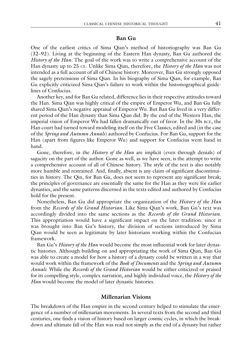#### **Ban Gu**

One of the earliest critics of Sima Qian's method of historiography was Ban Gu (32–92). Living at the beginning of the Eastern Han dynasty, Ban Gu authored the *History of the Han*. The goal of the work was to write a comprehensive account of the Han dynasty up to 25 CE. Unlike Sima Qian, therefore, the *History of the Han* was not intended as a full account of all of Chinese history. Moreover, Ban Gu strongly opposed the sagely pretensions of Sima Qian. In his biography of Sima Qian, for example, Ban Gu explicitly criticized Sima Qian's failure to work within the historiographical guidelines of Confucius.

Another key, and for Ban Gu related, difference lies in their respective attitudes toward the Han. Sima Qian was highly critical of the empire of Emperor Wu, and Ban Gu fully shared Sima Qian's negative appraisal of Emperor Wu. But Ban Gu lived in a very different period of the Han dynasty than Sima Qian did. By the end of the Western Han, the imperial vision of Emperor Wu had fallen dramatically out of favor. In the 30s BCE, the Han court had turned toward modeling itself on the Five Classics, edited and (in the case of the *Spring and Autumn Annals*) authored by Confucius. For Ban Gu, support for the Han (apart from figures like Emperor Wu) and support for Confucius went hand in hand.

Gone, therefore, in the *History of the Han* are implicit (even through denials) of sagacity on the part of the author. Gone as well, as we have seen, is the attempt to write a comprehensive account of all of Chinese history. The style of the text is also notably more humble and restrained. And, finally, absent is any claim of significant discontinuities in history. The Qin, for Ban Gu, does not seem to represent any significant break; the principles of governance are essentially the same for the Han as they were for earlier dynasties, and the same patterns discerned in the texts edited and authored by Confucius hold for the present.

Nonetheless, Ban Gu did appropriate the organization of the *History of the Han* from the *Records of the Grand Historian*. Like Sima Qian's work, Ban Gu's text was accordingly divided into the same sections as the *Records of the Grand Historian*. This appropriation would have a significant impact on the later tradition: since it was brought into Ban Gu's history, the division of sections introduced by Sima Qian would be seen as legitimate by later historians working within the Confucian framework.

Ban Gu's *History of the Han* would become the most influential work for later dynastic histories. Although building on and appropriating the work of Sima Qian, Ban Gu was able to create a model for how a history of a dynasty could be written in a way that would work within the framework of the *Book of Documents* and the *Spring and Autumn Annals*. While the *Records of the Grand Historian* would be either criticized or praised for its compelling style, complex narration, and highly individual voice, the *History of the Han* would become the model of later dynastic histories.

#### **Millenarian Visions**

The breakdown of the Han empire in the second century helped to stimulate the emergence of a number of millenarian movements. In several texts from the second and third centuries, one finds a vision of history based on larger cosmic cycles, in which the breakdown and ultimate fall of the Han was read not simply as the end of a dynasty but rather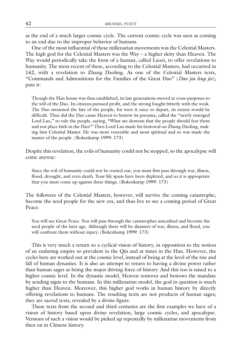as the end of a much larger cosmic cycle. The current cosmic cycle was seen as coming to an end due to the improper behavior of humans.

One of the most influential of these millenarian movements was the Celestial Masters. The high god for the Celestial Masters was the Way – a higher deity than Heaven. The Way would periodically take the form of a human, called Laozi, to offer revelations to humanity. The most recent of these, according to the Celestial Masters, had occurred in 142, with a revelation to Zhang Daoling. As one of the Celestial Masters texts, "Commands and Admonitions for the Families of the Great Dao" (*Dao jia ling jie*), puts it:

Though the Han house was thus established, its last generations moved at cross-purposes to the will of the Dao. Its citizens pursued profit, and the strong fought bitterly with the weak. The Dao mourned the fate of the people, for were it once to depart, its return would be difficult. Thus did the Dao cause Heaven to bestow its pneuma, called the "newly emerged Lord Lao," to rule the people, saying, "What are demons that the people should fear them and not place faith in the Dao?" Then Lord Lao made his bestowal on Zhang Daoling, making him Celestial Master. He was most venerable and most spiritual and so was made the master of the people. (Bokenkamp 1999: 173)

Despite this revelation, the evils of humanity could not be stopped, so the apocalypse will come anyway:

Since the evil of humanity could not be rooted out, you must first pass through war, illness, flood, drought, and even death. Your life spans have been depleted, and so it is appropriate that you must come up against these things. (Bokenkamp 1999: 173)

The followers of the Celestial Masters, however, will survive the coming catastrophe, become the seed people for the new era, and thus live to see a coming period of Great Peace:

You will see Great Peace. You will pass through the catastrophes unscathed and become the seed people of the later age. Although there will be disasters of war, illness, and flood, you will confront them without injury. (Bokenkamp 1999: 173)

This is very much a return to a cyclical vision of history, in opposition to the notion of an enduring empire so prevalent in the Qin and at times in the Han. However, the cycles here are worked out at the cosmic level, instead of being at the level of the rise and fall of human dynasties. It is also an attempt to return to having a divine power rather than human sages as being the major driving force of history. And this too is raised to a higher cosmic level. In the dynastic model, Heaven removes and bestows the mandate by sending signs to the humans. In this millenarian model, the god in question is much higher than Heaven. Moreover, this higher god works in human history by directly offering revelations to humans. The resulting texts are not products of human sages; they are sacred texts, revealed by a divine figure.

These texts from the second and third centuries are the first examples we have of a vision of history based upon divine revelation, large cosmic cycles, and apocalypse. Versions of such a vision would be picked up repeatedly by millenarian movements from then on in Chinese history.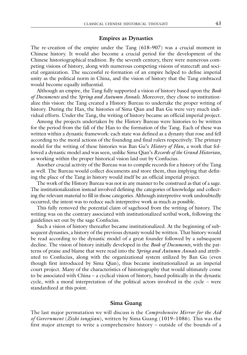#### **Empires as Dynasties**

The re-creation of the empire under the Tang (618–907) was a crucial moment in Chinese history. It would also become a crucial period for the development of the Chinese historiographical tradition. By the seventh century, there were numerous competing visions of history, along with numerous competing visions of statecraft and societal organization. The successful re-formation of an empire helped to define imperial unity as the political norm in China, and the vision of history that the Tang embraced would become equally influential.

Although an empire, the Tang fully supported a vision of history based upon the *Book of Documents* and the *Spring and Autumn Annals*. Moreover, they chose to institutionalize this vision: the Tang created a History Bureau to undertake the proper writing of history. During the Han, the histories of Sima Qian and Ban Gu were very much individual efforts. Under the Tang, the writing of history became an official imperial project.

Among the projects undertaken by the History Bureau were histories to be written for the period from the fall of the Han to the formation of the Tang. Each of these was written within a dynastic framework: each state was defined as a dynasty that rose and fell according to the moral actions of the founding and final rulers respectively. The primary model for the writing of these histories was Ban Gu's *History of Han*, a work that followed a dynastic model and was seen, unlike Sima Qian's *Records of the Grand Historian*, as working within the proper historical vision laid out by Confucius.

Another crucial activity of the Bureau was to compile records for a history of the Tang as well. The Bureau would collect documents and store them, thus implying that defining the place of the Tang in history would itself be an official imperial project.

The work of the History Bureau was not in any manner to be construed as that of a sage. The institutionalization instead involved defining the categories of knowledge and collecting the relevant material to fill in those categories. Although interpretive work undoubtedly occurred, the intent was to reduce such interpretive work as much as possible.

This fully removed the potential claim of sagehood from the writing of history. The writing was on the contrary associated with institutionalized scribal work, following the guidelines set out by the sage Confucius.

Such a vision of history thereafter became institutionalized. At the beginning of subsequent dynasties, a history of the previous dynasty would be written. That history would be read according to the dynastic model of a great founder followed by a subsequent decline. The vision of history initially developed in the *Book of Documents*, with the patterns of praise and blame that were read into the *Spring and Autumn Annals* and attributed to Confucius, along with the organizational system utilized by Ban Gu (even though first introduced by Sima Qian), thus became institutionalized as an imperial court project. Many of the characteristics of historiography that would ultimately come to be associated with China – a cyclical vision of history, based politically in the dynastic cycle, with a moral interpretation of the political actors involved in the cycle – were standardized at this point.

#### **Sima Guang**

The last major permutation we will discuss is the *Comprehensive Mirror for the Aid of Government* (*Zizhi tongjian*), written by Sima Guang (1019–1086). This was the first major attempt to write a comprehensive history – outside of the bounds of a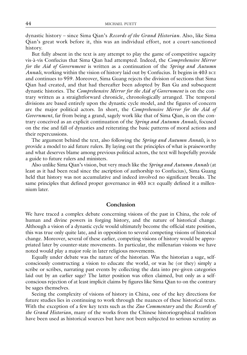dynastic history – since Sima Qian's *Records of the Grand Historian*. Also, like Sima Qian's great work before it, this was an individual effort, not a court-sanctioned history.

But fully absent in the text is any attempt to play the game of competitive sagacity vis-à-vis Confucius that Sima Qian had attempted. Indeed, the *Comprehensive Mirror for the Aid of Government* is written as a continuation of the *Spring and Autumn Annals*, working within the vision of history laid out by Confucius. It begins in 403 BCE and continues to 959. Moreover, Sima Guang rejects the division of sections that Sima Qian had created, and that had thereafter been adopted by Ban Gu and subsequent dynastic histories. The *Comprehensive Mirror for the Aid of Government* is on the contrary written as a straightforward chronicle, chronologically arranged. The temporal divisions are based entirely upon the dynastic cycle model, and the figures of concern are the major political actors. In short, the *Comprehensive Mirror for the Aid of Government*, far from being a grand, sagely work like that of Sima Qian, is on the contrary conceived as an explicit continuation of the *Spring and Autumn Annals*, focused on the rise and fall of dynasties and reiterating the basic patterns of moral actions and their repercussions.

The argument behind the text, also following the *Spring and Autumn Annals*, is to provide a model to aid future rulers. By laying out the principles of what is praiseworthy and what deserves blame among previous political actors, the text will hopefully provide a guide to future rulers and ministers.

Also unlike Sima Qian's vision, but very much like the *Spring and Autumn Annals* (at least as it had been read since the ascription of authorship to Confucius), Sima Guang held that history was not accumulative and indeed involved no significant breaks. The same principles that defined proper governance in 403 BCE equally defined it a millennium later.

#### **Conclusion**

We have traced a complex debate concerning visions of the past in China, the role of human and divine powers in forging history, and the nature of historical change. Although a vision of a dynastic cycle would ultimately become the official state position, this was true only quite late, and in opposition to several competing visions of historical change. Moreover, several of these earlier, competing visions of history would be appropriated later by counter-state movements. In particular, the millenarian visions we have noted would play a major role in later religious movements.

Equally under debate was the nature of the historian. Was the historian a sage, selfconsciously constructing a vision to educate the world, or was he (or they) simply a scribe or scribes, narrating past events by collecting the data into pre-given categories laid out by an earlier sage? The latter position was often claimed, but only as a selfconscious rejection of at least implicit claims by figures like Sima Qian to on the contrary be sages themselves.

Seeing the complexity of visions of history in China, one of the key directions for future studies lies in continuing to work through the nuances of these historical texts. With the exception of a few key texts such as the *Zuo Commentary* and the *Records of the Grand Historian*, many of the works from the Chinese historiographical tradition have been used as historical sources but have not been subjected to serious scrutiny as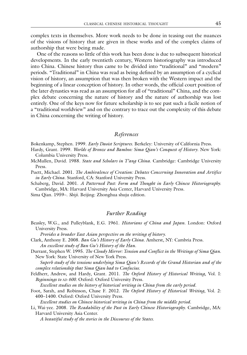complex texts in themselves. More work needs to be done in teasing out the nuances of the visions of history that are given in these works and of the complex claims of authorship that were being made.

One of the reasons so little of this work has been done is due to subsequent historical developments. In the early twentieth century, Western historiography was introduced into China. Chinese history thus came to be divided into "traditional" and "modern" periods. "Traditional" in China was read as being defined by an assumption of a cyclical vision of history, an assumption that was then broken with the Western impact and the beginning of a linear conception of history. In other words, the official court position of the later dynasties was read as an assumption for all of "traditional" China, and the complex debate concerning the nature of history and the nature of authorship was lost entirely. One of the keys now for future scholarship is to see past such a facile notion of a "traditional worldview" and on the contrary to trace out the complexity of this debate in China concerning the writing of history.

#### *References*

Bokenkamp, Stephen. 1999. *Early Daoist Scriptures*. Berkeley: University of California Press.

Hardy, Grant. 1999. *Worlds of Bronze and Bamboo: Sima Qian's Conquest of History*. New York: Columbia University Press.

McMullen, David. 1988. *State and Scholars in T'ang China*. Cambridge: Cambridge University Press.

Puett, Michael. 2001. *The Ambivalence of Creation: Debates Concerning Innovation and Artifice in Early China*. Stanford, CA: Stanford University Press.

Schaberg, David. 2001. *A Patterned Past: Form and Thought in Early Chinese Historiography*. Cambridge, MA: Harvard University Asia Center, Harvard University Press.

Sima Qian. 1959–. *Shiji*. Beijing: Zhonghua shuju edition.

#### *Further Reading*

Beasley, W.G., and Pulleyblank, E.G. 1961. *Historians of China and Japan*. London: Oxford University Press.

*Provides a broader East Asian perspective on the writing of history*.

Clark, Anthony E. 2008. *Ban Gu's History of Early China*. Amherst, NY: Cambria Press. *An excellent study of Ban Gu's History of the Han*.

Durrant, Stephen W. 1995. *The Cloudy Mirror: Tension and Conflict in the Writings of Sima Qian*. New York: State University of New York Press.

*Superb study of the tensions underlying Sima Qian's Records of the Grand Historian and of the complex relationship that Sima Qian had to Confucius*.

Feldherr, Andrew, and Hardy, Grant. 2011. *The Oxford History of Historical Writing*, Vol. I: *Beginnings to* AD *600*. Oxford: Oxford University Press.

*Excellent studies on the history of historical writing in China from the early period*.

Foot, Sarah, and Robinson, Chase F. 2012. *The Oxford History of Historical Writing*, Vol. 2: 400–1400. Oxford: Oxford University Press.

*Excellent studies on Chinese historical writing in China from the middle period*.

Li, Wai-yee. 2008. *The Readability of the Past in Early Chinese Historiography*. Cambridge, MA: Harvard University Asia Center.

*A beautiful study of the stories in the Discourses of the States*.